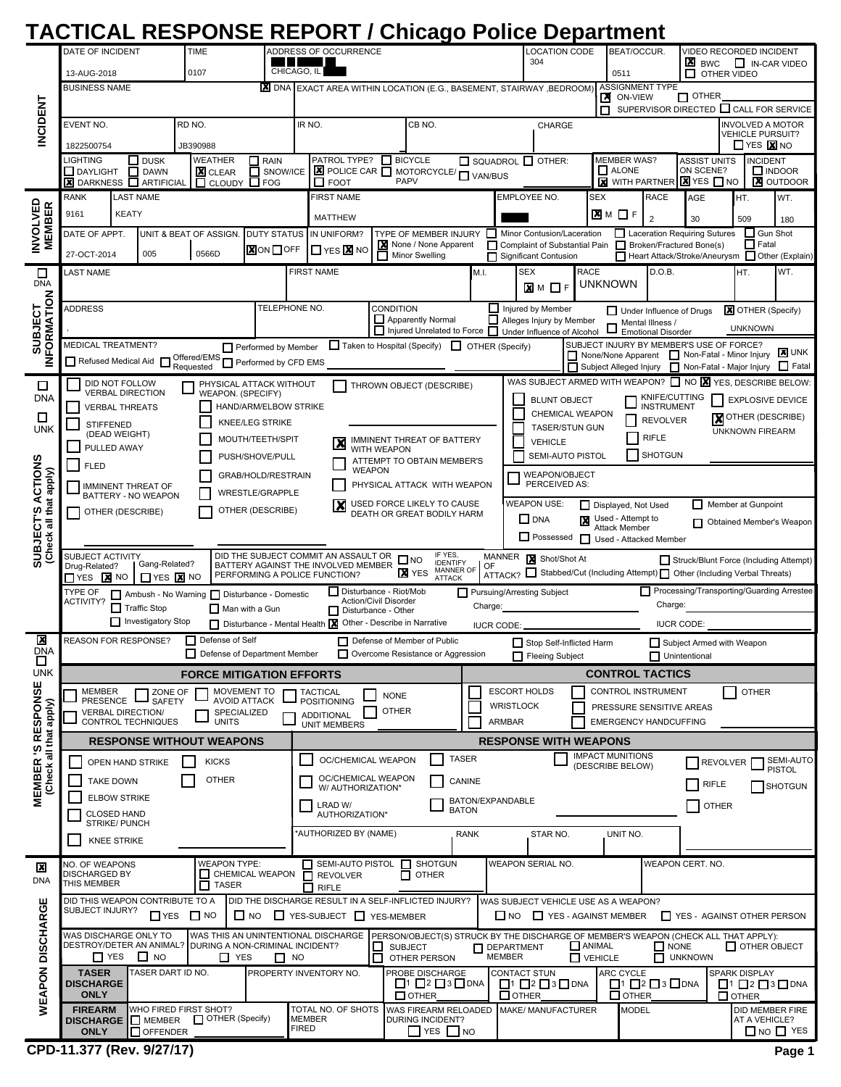## **TACTICAL RESPONSE REPORT / Chicago Police Department**

|                                                    | DATE OF INCIDENT                  |                                                         | <b>TIME</b>                                              |                                            |               | ADDRESS OF OCCURRENCE                                                                        |                                              |                                                                                     |             |                             | <b>LOCATION CODE</b>                  |                                                              | BEAT/OCCUR.                              |                                               |                                                                                                                     | VIDEO RECORDED INCIDENT   |                                                      |                                       |
|----------------------------------------------------|-----------------------------------|---------------------------------------------------------|----------------------------------------------------------|--------------------------------------------|---------------|----------------------------------------------------------------------------------------------|----------------------------------------------|-------------------------------------------------------------------------------------|-------------|-----------------------------|---------------------------------------|--------------------------------------------------------------|------------------------------------------|-----------------------------------------------|---------------------------------------------------------------------------------------------------------------------|---------------------------|------------------------------------------------------|---------------------------------------|
|                                                    | 13-AUG-2018                       |                                                         | 0107                                                     |                                            | CHICAGO, IL   |                                                                                              |                                              |                                                                                     |             |                             | 304                                   |                                                              | 0511                                     |                                               | <b>X</b> BWC                                                                                                        |                           |                                                      | IN-CAR VIDEO                          |
|                                                    | <b>BUSINESS NAME</b>              |                                                         |                                                          |                                            |               | <b>KI</b> DNA EXACT AREA WITHIN LOCATION (E.G., BASEMENT, STAIRWAY, BEDROOM)                 |                                              |                                                                                     |             |                             |                                       |                                                              |                                          | <b>ASSIGNMENT TYPE</b>                        |                                                                                                                     | OTHER VIDEO               |                                                      |                                       |
|                                                    |                                   |                                                         |                                                          |                                            |               |                                                                                              |                                              |                                                                                     |             |                             |                                       |                                                              | <b>X</b> ON-VIEW                         |                                               | $\Box$ OTHER                                                                                                        |                           |                                                      |                                       |
|                                                    | <b>EVENT NO.</b>                  |                                                         | RD NO.                                                   |                                            | IR NO.        |                                                                                              |                                              | CB NO.                                                                              |             |                             | CHARGE                                | п                                                            |                                          |                                               | SUPERVISOR DIRECTED CALL FOR SERVICE                                                                                |                           | <b>INVOLVED A MOTOR</b>                              |                                       |
| <b>INCIDENT</b>                                    |                                   |                                                         |                                                          |                                            |               |                                                                                              |                                              |                                                                                     |             |                             |                                       |                                                              |                                          |                                               |                                                                                                                     |                           | <b>VEHICLE PURSUIT?</b><br>$\Box$ YES $\boxtimes$ NO |                                       |
|                                                    | 1822500754<br>LIGHTING            | $\Box$ DUSK                                             | JB390988<br><b>WEATHER</b>                               | $\Box$ RAIN                                |               | PATROL TYPE?                                                                                 |                                              | $\Box$ BICYCLE                                                                      |             | SQUADROL OTHER:             |                                       |                                                              | <b>MEMBER WAS?</b>                       |                                               | <b>ASSIST UNITS</b>                                                                                                 |                           | <b>INCIDENT</b>                                      |                                       |
|                                                    | <b>DAYLIGHT</b>                   | $\Box$ DAWN                                             | <b>X</b> CLEAR                                           | п                                          | SNOW/ICE      | <b>E</b> POLICE CAR <b>T</b> MOTORCYCLE/ T VAN/BUS                                           |                                              | PAPV                                                                                |             |                             |                                       |                                                              | $\Box$ ALONE                             |                                               | ON SCENE?                                                                                                           |                           | $\Box$ INDOOR                                        | <b>X</b> OUTDOOR                      |
|                                                    | <b>RANK</b>                       | <b>X</b> DARKNESS <b>REARMEDIAL</b><br><b>LAST NAME</b> |                                                          | $\Box$ CLOUDY $\Box$ FOG                   |               | $\Box$ FOOT<br><b>FIRST NAME</b>                                                             |                                              |                                                                                     |             | <b>EMPLOYEE NO.</b>         |                                       | <b>SEX</b>                                                   |                                          | <b>RACE</b>                                   | <b>X</b> WITH PARTNER <b>X</b> YES <b>NO</b><br>AGE                                                                 | HT.                       |                                                      | WT.                                   |
| <b>INVOLVED<br/>MEMBER</b>                         | 9161                              | <b>KEATY</b>                                            |                                                          |                                            |               | <b>MATTHEW</b>                                                                               |                                              |                                                                                     |             |                             |                                       |                                                              | <b>X</b> IM □ F                          | $\overline{2}$                                |                                                                                                                     |                           |                                                      |                                       |
|                                                    | DATE OF APPT.                     |                                                         | UNIT & BEAT OF ASSIGN.                                   | <b>DUTY STATUS</b>                         |               | IN UNIFORM?                                                                                  |                                              | TYPE OF MEMBER INJURY                                                               |             |                             |                                       | Minor Contusion/Laceration                                   |                                          |                                               | 30<br>Laceration Requiring Sutures                                                                                  | 509                       | $\Box$ Gun Shot                                      | 180                                   |
|                                                    | 27-OCT-2014                       | 005                                                     | 0566D                                                    | <b>X</b> ON OFF                            |               | <b>TYES X NO</b>                                                                             |                                              | None / None Apparent                                                                |             |                             |                                       |                                                              |                                          |                                               | Complaint of Substantial Pain Broken/Fractured Bone(s)                                                              |                           | $\Box$ Fatal                                         |                                       |
| □                                                  | LAST NAME                         |                                                         |                                                          |                                            |               | <b>FIRST NAME</b>                                                                            |                                              | Minor Swelling                                                                      | П<br>M.I.   | <b>SEX</b>                  | <b>Significant Contusion</b>          | <b>RACE</b>                                                  |                                          | D.O.B.                                        | Heart Attack/Stroke/Aneurysm I Other (Explain)                                                                      | HT.                       |                                                      | WT.                                   |
| <b>DNA</b>                                         |                                   |                                                         |                                                          |                                            |               |                                                                                              |                                              |                                                                                     |             |                             | $\times M$ $\Box$ F                   |                                                              | unknown                                  |                                               |                                                                                                                     |                           |                                                      |                                       |
|                                                    | <b>ADDRESS</b>                    |                                                         |                                                          |                                            | TELEPHONE NO. |                                                                                              | CONDITION                                    |                                                                                     |             | Injured by Member           |                                       |                                                              |                                          |                                               | Under Influence of Drugs                                                                                            |                           | <b>X</b> OTHER (Specify)                             |                                       |
| <b>SUBJECT</b><br><b>IFORMATION</b>                |                                   |                                                         |                                                          |                                            |               |                                                                                              |                                              | Apparently Normal<br>□ Injured Unrelated to Force □ Under Influence of Alcohol      |             | Alleges Injury by Member    |                                       |                                                              | $\Box$                                   | Mental Illness /<br><b>Emotional Disorder</b> |                                                                                                                     |                           | <b>UNKNOWN</b>                                       |                                       |
|                                                    | <b>MEDICAL TREATMENT?</b>         |                                                         |                                                          | Performed by Member                        |               |                                                                                              |                                              | Taken to Hospital (Specify) T OTHER (Specify)                                       |             |                             |                                       |                                                              |                                          |                                               | SUBJECT INJURY BY MEMBER'S USE OF FORCE?                                                                            |                           |                                                      |                                       |
| ≧                                                  | Refused Medical Aid               |                                                         | Offered/EMS Performed by CFD EMS                         |                                            |               |                                                                                              |                                              |                                                                                     |             |                             |                                       |                                                              |                                          |                                               | None/None Apparent Non-Fatal - Minor Injury<br>Subject Alleged Injury Non-Fatal - Major Injury                      |                           |                                                      | <b>X</b> UNK<br>$\Box$ Fatal          |
| □                                                  |                                   | DID NOT FOLLOW                                          |                                                          | PHYSICAL ATTACK WITHOUT                    |               |                                                                                              |                                              | THROWN OBJECT (DESCRIBE)                                                            |             |                             |                                       |                                                              |                                          |                                               | WAS SUBJECT ARMED WITH WEAPON? $\Box$ NO $\boxtimes$ YES, DESCRIBE BELOW:                                           |                           |                                                      |                                       |
| <b>DNA</b>                                         |                                   | <b>VERBAL DIRECTION</b><br><b>VERBAL THREATS</b>        |                                                          | WEAPON. (SPECIFY)<br>HAND/ARM/ELBOW STRIKE |               |                                                                                              |                                              |                                                                                     |             |                             | <b>BLUNT OBJECT</b>                   |                                                              |                                          | KNIFE/CUTTING<br>INSTRUMENT                   |                                                                                                                     |                           |                                                      | <b>EXPLOSIVE DEVICE</b>               |
| □                                                  | <b>STIFFENED</b>                  |                                                         |                                                          | KNEE/LEG STRIKE                            |               |                                                                                              |                                              |                                                                                     |             |                             |                                       | CHEMICAL WEAPON<br><b>TASER/STUN GUN</b>                     |                                          | <b>REVOLVER</b>                               |                                                                                                                     | <b>X</b> OTHER (DESCRIBE) |                                                      |                                       |
| <b>UNK</b>                                         |                                   | (DEAD WEIGHT)                                           |                                                          | MOUTH/TEETH/SPIT                           |               |                                                                                              |                                              | IMMINENT THREAT OF BATTERY                                                          |             |                             | <b>VEHICLE</b>                        |                                                              |                                          | <b>RIFLE</b>                                  |                                                                                                                     | <b>UNKNOWN FIREARM</b>    |                                                      |                                       |
|                                                    |                                   | PULLED AWAY                                             |                                                          | PUSH/SHOVE/PULL                            |               |                                                                                              | WITH WEAPON                                  | ATTEMPT TO OBTAIN MEMBER'S                                                          |             |                             |                                       | SEMI-AUTO PISTOL                                             |                                          | <b>SHOTGUN</b>                                |                                                                                                                     |                           |                                                      |                                       |
|                                                    | <b>FLED</b>                       |                                                         |                                                          | GRAB/HOLD/RESTRAIN                         |               |                                                                                              | <b>WEAPON</b>                                |                                                                                     |             |                             | WEAPON/OBJECT                         |                                                              |                                          |                                               |                                                                                                                     |                           |                                                      |                                       |
|                                                    |                                   | <b>IMMINENT THREAT OF</b><br>BATTERY - NO WEAPON        |                                                          | <b>WRESTLE/GRAPPLE</b>                     |               |                                                                                              |                                              | PHYSICAL ATTACK WITH WEAPON                                                         |             |                             | PERCEIVED AS:                         |                                                              |                                          |                                               |                                                                                                                     |                           |                                                      |                                       |
|                                                    |                                   | OTHER (DESCRIBE)                                        |                                                          | OTHER (DESCRIBE)                           |               | $\boldsymbol{\mathsf{x}}$                                                                    |                                              | USED FORCE LIKELY TO CAUSE<br>DEATH OR GREAT BODILY HARM                            |             |                             | <b>WEAPON USE:</b><br>$\square$ DNA   |                                                              | Displayed, Not Used<br>Used - Attempt to |                                               |                                                                                                                     | Member at Gunpoint        |                                                      |                                       |
|                                                    |                                   |                                                         |                                                          |                                            |               |                                                                                              |                                              |                                                                                     |             |                             |                                       | Possessed J Used - Attacked Member                           | <b>Attack Member</b>                     |                                               |                                                                                                                     |                           |                                                      | Obtained Member's Weapon              |
| <b>SUBJECT'S ACTIONS</b><br>(Check all that apply) | <b>SUBJECT ACTIVITY</b>           |                                                         |                                                          |                                            |               | DID THE SUBJECT COMMIT AN ASSAULT OR                                                         |                                              | IF YES,                                                                             |             | MANNER X Shot/Shot At       |                                       |                                                              |                                          |                                               |                                                                                                                     |                           |                                                      |                                       |
|                                                    | Drug-Related?<br>TYES <b>X</b> NO |                                                         | Gang-Related?<br>$\prod$ YES $\boxed{\mathbf{X}}$ NO     | PERFORMING A POLICE FUNCTION?              |               | BATTERY AGAINST THE INVOLVED MEMBER                                                          |                                              | $\Box$ NO<br><b>IDENTIFY</b><br><b>MANNER OF</b><br><b>X</b> YES<br>ATTACK          | OF          |                             |                                       |                                                              |                                          |                                               | Struck/Blunt Force (Including Attempt)<br>NTTACK? IStabbed/Cut (Including Attempt) Other (Including Verbal Threats) |                           |                                                      |                                       |
|                                                    | TYPE OF                           |                                                         | Ambush - No Warning Disturbance - Domestic               |                                            |               | □ Disturbance - Riot/Mob                                                                     |                                              |                                                                                     |             | Pursuing/Arresting Subject  |                                       |                                                              |                                          |                                               | Processing/Transporting/Guarding Arrestee                                                                           |                           |                                                      |                                       |
|                                                    | ACTIVITY?                         | $\Box$ Traffic Stop                                     |                                                          | Man with a Gun                             |               |                                                                                              | Action/Civil Disorder<br>Disturbance - Other |                                                                                     |             |                             |                                       |                                                              |                                          | Charge:                                       |                                                                                                                     |                           |                                                      |                                       |
|                                                    |                                   |                                                         |                                                          |                                            |               |                                                                                              |                                              |                                                                                     | Charge:     |                             |                                       |                                                              |                                          |                                               |                                                                                                                     |                           |                                                      |                                       |
|                                                    |                                   |                                                         | Investigatory Stop                                       |                                            |               | Disturbance - Mental Health X Other - Describe in Narrative                                  |                                              |                                                                                     |             | <b>IUCR CODE:</b>           |                                       |                                                              |                                          |                                               | <b>IUCR CODE:</b>                                                                                                   |                           |                                                      |                                       |
| ×<br><b>DNA</b>                                    |                                   | REASON FOR RESPONSE?                                    | Defense of Self                                          | Defense of Department Member               |               |                                                                                              |                                              | Defense of Member of Public<br>Overcome Resistance or Aggression                    |             |                             | Fleeing Subject                       | Stop Self-Inflicted Harm                                     |                                          |                                               | Subject Armed with Weapon<br>$\Box$ Unintentional                                                                   |                           |                                                      |                                       |
| <b>UNK</b>                                         |                                   |                                                         |                                                          | <b>FORCE MITIGATION EFFORTS</b>            |               |                                                                                              |                                              |                                                                                     |             |                             |                                       |                                                              |                                          | <b>CONTROL TACTICS</b>                        |                                                                                                                     |                           |                                                      |                                       |
|                                                    | MEMBER<br>PRESENCE                |                                                         | ZONE OF<br><b>SAFETY</b>                                 | MOVEMENT TO<br><b>AVOID ATTACK</b>         |               | <b>TACTICAL</b><br><b>POSITIONING</b>                                                        | <b>NONE</b>                                  |                                                                                     |             | <b>ESCORT HOLDS</b>         |                                       |                                                              |                                          | <b>CONTROL INSTRUMENT</b>                     |                                                                                                                     |                           | <b>OTHER</b>                                         |                                       |
|                                                    |                                   | <b>VERBAL DIRECTION/</b>                                | <b>UNITS</b>                                             | SPECIALIZED                                |               | <b>ADDITIONAL</b>                                                                            | <b>OTHER</b>                                 |                                                                                     |             | <b>WRISTLOCK</b>            |                                       |                                                              |                                          |                                               | PRESSURE SENSITIVE AREAS                                                                                            |                           |                                                      |                                       |
| apply)                                             |                                   | CONTROL TECHNIQUES                                      |                                                          |                                            |               | <b>UNIT MEMBERS</b>                                                                          |                                              |                                                                                     |             | <b>ARMBAR</b>               |                                       |                                                              |                                          | <b>EMERGENCY HANDCUFFING</b>                  |                                                                                                                     |                           |                                                      |                                       |
| all that                                           |                                   |                                                         | <b>RESPONSE WITHOUT WEAPONS</b>                          |                                            |               |                                                                                              |                                              | <b>TASER</b>                                                                        |             |                             |                                       | <b>RESPONSE WITH WEAPONS</b>                                 | <b>IMPACT MUNITIONS</b>                  |                                               |                                                                                                                     |                           |                                                      |                                       |
|                                                    |                                   | OPEN HAND STRIKE                                        | <b>KICKS</b>                                             |                                            |               | OC/CHEMICAL WEAPON<br>OC/CHEMICAL WEAPON                                                     |                                              |                                                                                     |             |                             |                                       |                                                              | (DESCRIBE BELOW)                         |                                               |                                                                                                                     | <b>REVOLVER</b>           |                                                      | SEMI-AUTO<br><b>PISTOL</b>            |
| Check                                              |                                   | <b>TAKE DOWN</b><br><b>ELBOW STRIKE</b>                 | <b>OTHER</b>                                             |                                            |               | W/ AUTHORIZATION*                                                                            |                                              | CANINE                                                                              |             |                             |                                       |                                                              |                                          |                                               |                                                                                                                     | RIFLE                     |                                                      | SHOTGUN                               |
| <b>MEMBER 'S RESPONSE</b>                          |                                   | <b>CLOSED HAND</b>                                      |                                                          |                                            |               | LRAD W/<br>AUTHORIZATION*                                                                    |                                              | <b>BATON</b>                                                                        |             | BATON/EXPANDABLE            |                                       |                                                              |                                          |                                               |                                                                                                                     | <b>OTHER</b>              |                                                      |                                       |
|                                                    |                                   | <b>STRIKE/PUNCH</b>                                     |                                                          |                                            |               | 'AUTHORIZED BY (NAME)                                                                        |                                              |                                                                                     | <b>RANK</b> |                             | STAR NO.                              |                                                              | UNIT NO.                                 |                                               |                                                                                                                     |                           |                                                      |                                       |
|                                                    |                                   | <b>KNEE STRIKE</b>                                      |                                                          |                                            |               |                                                                                              |                                              |                                                                                     |             |                             |                                       |                                                              |                                          |                                               |                                                                                                                     |                           |                                                      |                                       |
| ⊠                                                  | NO. OF WEAPONS<br>DISCHARGED BY   |                                                         |                                                          | <b>WEAPON TYPE:</b><br>CHEMICAL WEAPON     |               | $\Box$ SEMI-AUTO PISTOL $\Box$ SHOTGUN<br>$\prod$ REVOLVER                                   |                                              | OTHER<br>□                                                                          |             | <b>WEAPON SERIAL NO.</b>    |                                       |                                                              |                                          |                                               | WEAPON CERT. NO.                                                                                                    |                           |                                                      |                                       |
| <b>DNA</b>                                         | THIS MEMBER                       |                                                         | $\Box$ TASER                                             |                                            |               | $\Box$ RIFLE                                                                                 |                                              |                                                                                     |             |                             |                                       |                                                              |                                          |                                               |                                                                                                                     |                           |                                                      |                                       |
|                                                    | SUBJECT INJURY?                   |                                                         | DID THIS WEAPON CONTRIBUTE TO A<br>$\Box$ YES $\Box$ NO  | $\Box$ NO                                  |               | DID THE DISCHARGE RESULT IN A SELF-INFLICTED INJURY?<br>$\Box$ YES-SUBJECT $\Box$ YES-MEMBER |                                              |                                                                                     |             | $\Box$ NO                   |                                       | WAS SUBJECT VEHICLE USE AS A WEAPON?<br>YES - AGAINST MEMBER |                                          |                                               | T YES - AGAINST OTHER PERSON                                                                                        |                           |                                                      |                                       |
|                                                    |                                   | WAS DISCHARGE ONLY TO                                   |                                                          | WAS THIS AN UNINTENTIONAL DISCHARGE        |               |                                                                                              |                                              | PERSON/OBJECT(S) STRUCK BY THE DISCHARGE OF MEMBER'S WEAPON (CHECK ALL THAT APPLY): |             |                             |                                       |                                                              |                                          |                                               |                                                                                                                     |                           |                                                      |                                       |
|                                                    | $\Box$ YES                        | $\Box$ NO                                               | DESTROY/DETER AN ANIMAL? DURING A NON-CRIMINAL INCIDENT? | $\Box$ YES                                 | $\Box$ NO     |                                                                                              | LI SUBJECT<br>п                              | <b>OTHER PERSON</b>                                                                 |             | DEPARTMENT<br><b>MEMBER</b> |                                       | ANIMAL<br>$\Box$ VEHICLE                                     |                                          | $\Box$ NONE                                   | $\Box$ UNKNOWN                                                                                                      |                           | $\Box$ OTHER OBJECT                                  |                                       |
|                                                    | <b>TASER</b>                      |                                                         | TASER DART ID NO.                                        |                                            |               | PROPERTY INVENTORY NO.                                                                       |                                              | PROBE DISCHARGE                                                                     |             | CONTACT STUN                |                                       |                                                              | <b>ARC CYCLE</b>                         |                                               |                                                                                                                     | SPARK DISPLAY             |                                                      |                                       |
|                                                    | <b>DISCHARGE</b><br><b>ONLY</b>   |                                                         |                                                          |                                            |               |                                                                                              |                                              | $\Box$ 1 $\Box$ 2 $\Box$ 3 $\Box$ DNA<br>$\Box$ OTHER                               |             | $\Box$ OTHER                | $\Box$ 1 $\Box$ 2 $\Box$ 3 $\Box$ DNA |                                                              | $\Box$ OTHER                             | $\Box$ 1 $\Box$ 2 $\Box$ 3 $\Box$ DNA         |                                                                                                                     | $\Box$ OTHER              |                                                      | $\Box$ 1 $\Box$ 2 $\Box$ 3 $\Box$ DNA |
| WEAPON DISCHARGE                                   | <b>FIREARM</b>                    | DISCHARGE I MEMBER                                      | WHO FIRED FIRST SHOT?                                    | OTHER (Specify)                            | <b>MEMBER</b> | TOTAL NO. OF SHOTS                                                                           |                                              | <b>WAS FIREARM RELOADED</b><br><b>DURING INCIDENT?</b>                              |             | MAKE/ MANUFACTURER          |                                       |                                                              | <b>MODEL</b>                             |                                               |                                                                                                                     |                           | AT A VEHICLE?                                        | DID MEMBER FIRE                       |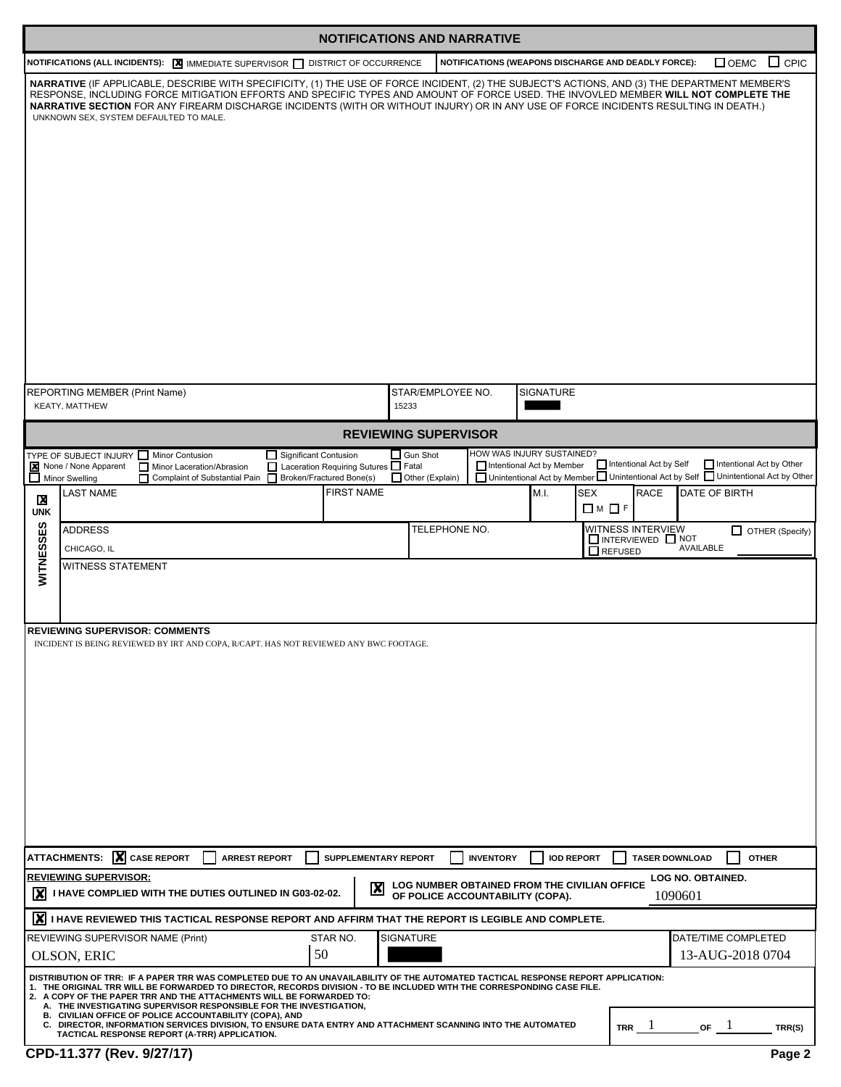|                 |                                                                                                                                                                                                                                                                                                                                                                                                                                                                                                                                                                                                                                      | <b>NOTIFICATIONS AND NARRATIVE</b>                            |                                                                                                                     |
|-----------------|--------------------------------------------------------------------------------------------------------------------------------------------------------------------------------------------------------------------------------------------------------------------------------------------------------------------------------------------------------------------------------------------------------------------------------------------------------------------------------------------------------------------------------------------------------------------------------------------------------------------------------------|---------------------------------------------------------------|---------------------------------------------------------------------------------------------------------------------|
|                 | NOTIFICATIONS (ALL INCIDENTS): X IMMEDIATE SUPERVISOR I DISTRICT OF OCCURRENCE                                                                                                                                                                                                                                                                                                                                                                                                                                                                                                                                                       |                                                               | $\Box$ CPIC<br>NOTIFICATIONS (WEAPONS DISCHARGE AND DEADLY FORCE):<br>$\Box$ OEMC                                   |
|                 | NARRATIVE (IF APPLICABLE, DESCRIBE WITH SPECIFICITY, (1) THE USE OF FORCE INCIDENT, (2) THE SUBJECT'S ACTIONS, AND (3) THE DEPARTMENT MEMBER'S<br>RESPONSE, INCLUDING FORCE MITIGATION EFFORTS AND SPECIFIC TYPES AND AMOUNT OF FORCE USED. THE INVOVLED MEMBER WILL NOT COMPLETE THE<br>NARRATIVE SECTION FOR ANY FIREARM DISCHARGE INCIDENTS (WITH OR WITHOUT INJURY) OR IN ANY USE OF FORCE INCIDENTS RESULTING IN DEATH.)<br>UNKNOWN SEX, SYSTEM DEFAULTED TO MALE.                                                                                                                                                              |                                                               |                                                                                                                     |
|                 | REPORTING MEMBER (Print Name)<br>KEATY, MATTHEW                                                                                                                                                                                                                                                                                                                                                                                                                                                                                                                                                                                      | STAR/EMPLOYEE NO.<br>15233                                    | SIGNATURE                                                                                                           |
|                 |                                                                                                                                                                                                                                                                                                                                                                                                                                                                                                                                                                                                                                      | <b>REVIEWING SUPERVISOR</b>                                   |                                                                                                                     |
|                 | TYPE OF SUBJECT INJURY Minor Contusion<br>Significant Contusion                                                                                                                                                                                                                                                                                                                                                                                                                                                                                                                                                                      | $\Box$ Gun Shot                                               | HOW WAS INJURY SUSTAINED?<br>Intentional Act by Self<br>Intentional Act by Other                                    |
|                 | None / None Apparent<br>Laceration Requiring Sutures Fatal<br>Minor Laceration/Abrasion<br>Broken/Fractured Bone(s)<br>$\Box$ Minor Swelling<br>П<br>Complaint of Substantial Pain                                                                                                                                                                                                                                                                                                                                                                                                                                                   | $\Box$ Other (Explain)                                        | Intentional Act by Member<br>□ Unintentional Act by Member □ Unintentional Act by Self □ Unintentional Act by Other |
| X<br><b>UNK</b> | <b>FIRST NAME</b><br><b>LAST NAME</b>                                                                                                                                                                                                                                                                                                                                                                                                                                                                                                                                                                                                |                                                               | M.I.<br>SEX<br><b>RACE</b><br>DATE OF BIRTH<br>$\Box$ M $\Box$ F                                                    |
|                 | <b>ADDRESS</b>                                                                                                                                                                                                                                                                                                                                                                                                                                                                                                                                                                                                                       | TELEPHONE NO.                                                 | WITNESS INTERVIEW<br>OTHER (Specify)                                                                                |
|                 | CHICAGO, IL                                                                                                                                                                                                                                                                                                                                                                                                                                                                                                                                                                                                                          |                                                               | INTERVIEWED NOT<br>AVAILABLE<br>$\Box$ REFUSED                                                                      |
| WITNESSES       | WITNESS STATEMENT                                                                                                                                                                                                                                                                                                                                                                                                                                                                                                                                                                                                                    |                                                               |                                                                                                                     |
|                 | <b>REVIEWING SUPERVISOR: COMMENTS</b><br>INCIDENT IS BEING REVIEWED BY IRT AND COPA, R/CAPT. HAS NOT REVIEWED ANY BWC FOOTAGE.                                                                                                                                                                                                                                                                                                                                                                                                                                                                                                       |                                                               |                                                                                                                     |
|                 | ATTACHMENTS: X CASE REPORT<br><b>ARREST REPORT</b>                                                                                                                                                                                                                                                                                                                                                                                                                                                                                                                                                                                   | SUPPLEMENTARY REPORT<br><b>INVENTORY</b>                      | <b>IOD REPORT</b><br><b>TASER DOWNLOAD</b><br><b>OTHER</b>                                                          |
|                 | <b>REVIEWING SUPERVISOR:</b><br>I HAVE COMPLIED WITH THE DUTIES OUTLINED IN G03-02-02.                                                                                                                                                                                                                                                                                                                                                                                                                                                                                                                                               | $\boldsymbol{\mathsf{X}}$<br>OF POLICE ACCOUNTABILITY (COPA). | <b>LOG NO. OBTAINED.</b><br>LOG NUMBER OBTAINED FROM THE CIVILIAN OFFICE<br>1090601                                 |
|                 | X I HAVE REVIEWED THIS TACTICAL RESPONSE REPORT AND AFFIRM THAT THE REPORT IS LEGIBLE AND COMPLETE.                                                                                                                                                                                                                                                                                                                                                                                                                                                                                                                                  |                                                               |                                                                                                                     |
|                 | REVIEWING SUPERVISOR NAME (Print)<br>STAR NO.                                                                                                                                                                                                                                                                                                                                                                                                                                                                                                                                                                                        | <b>SIGNATURE</b>                                              | DATE/TIME COMPLETED                                                                                                 |
|                 | 50<br>OLSON, ERIC                                                                                                                                                                                                                                                                                                                                                                                                                                                                                                                                                                                                                    |                                                               | 13-AUG-2018 0704                                                                                                    |
|                 | DISTRIBUTION OF TRR: IF A PAPER TRR WAS COMPLETED DUE TO AN UNAVAILABILITY OF THE AUTOMATED TACTICAL RESPONSE REPORT APPLICATION:<br>1. THE ORIGINAL TRR WILL BE FORWARDED TO DIRECTOR, RECORDS DIVISION - TO BE INCLUDED WITH THE CORRESPONDING CASE FILE.<br>2. A COPY OF THE PAPER TRR AND THE ATTACHMENTS WILL BE FORWARDED TO:<br>A. THE INVESTIGATING SUPERVISOR RESPONSIBLE FOR THE INVESTIGATION,<br>B. CIVILIAN OFFICE OF POLICE ACCOUNTABILITY (COPA), AND<br>C. DIRECTOR, INFORMATION SERVICES DIVISION, TO ENSURE DATA ENTRY AND ATTACHMENT SCANNING INTO THE AUTOMATED<br>TACTICAL RESPONSE REPORT (A-TRR) APPLICATION. |                                                               | TRR $1$<br>or 1<br>TRR(S)                                                                                           |
|                 | CPD-11.377 (Rev. 9/27/17)                                                                                                                                                                                                                                                                                                                                                                                                                                                                                                                                                                                                            |                                                               | Page 2                                                                                                              |